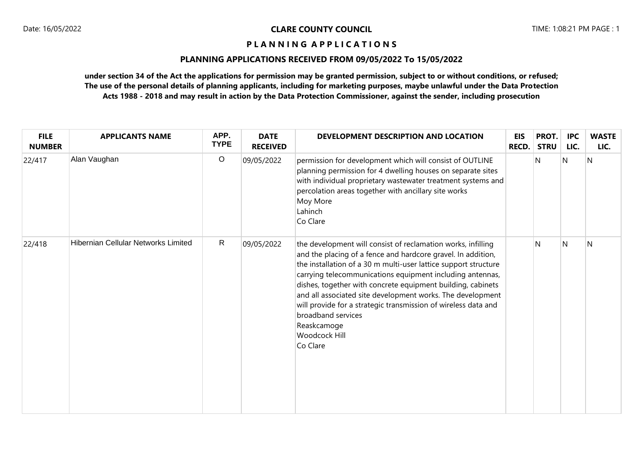# **PLANNING APPLICATIONS RECEIVED FROM 09/05/2022 To 15/05/2022**

| <b>FILE</b><br><b>NUMBER</b> | <b>APPLICANTS NAME</b>                     | APP.<br><b>TYPE</b> | <b>DATE</b><br><b>RECEIVED</b> | DEVELOPMENT DESCRIPTION AND LOCATION                                                                                                                                                                                                                                                                                                                                                                                                                                                                                                 | <b>EIS</b><br>RECD. | PROT.<br><b>STRU</b> | <b>IPC</b><br>LIC. | <b>WASTE</b><br>LIC. |
|------------------------------|--------------------------------------------|---------------------|--------------------------------|--------------------------------------------------------------------------------------------------------------------------------------------------------------------------------------------------------------------------------------------------------------------------------------------------------------------------------------------------------------------------------------------------------------------------------------------------------------------------------------------------------------------------------------|---------------------|----------------------|--------------------|----------------------|
| 22/417                       | Alan Vaughan                               | $\circ$             | 09/05/2022                     | permission for development which will consist of OUTLINE<br>planning permission for 4 dwelling houses on separate sites<br>with individual proprietary wastewater treatment systems and<br>percolation areas together with ancillary site works<br>Moy More<br>Lahinch<br>Co Clare                                                                                                                                                                                                                                                   |                     | N                    | N                  | N                    |
| 22/418                       | <b>Hibernian Cellular Networks Limited</b> | $\mathsf{R}$        | 09/05/2022                     | the development will consist of reclamation works, infilling<br>and the placing of a fence and hardcore gravel. In addition,<br>the installation of a 30 m multi-user lattice support structure<br>carrying telecommunications equipment including antennas,<br>dishes, together with concrete equipment building, cabinets<br>and all associated site development works. The development<br>will provide for a strategic transmission of wireless data and<br>broadband services<br>Reaskcamoge<br><b>Woodcock Hill</b><br>Co Clare |                     | N                    | N                  | N                    |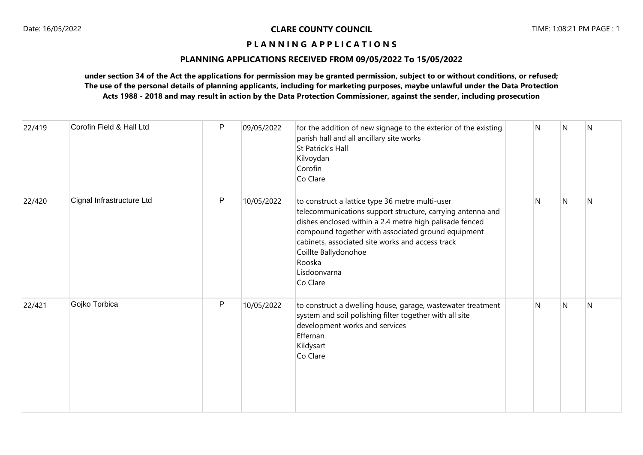## **PLANNING APPLICATIONS RECEIVED FROM 09/05/2022 To 15/05/2022**

| 22/419 | Corofin Field & Hall Ltd  | $\mathsf{P}$ | 09/05/2022 | for the addition of new signage to the exterior of the existing<br>parish hall and all ancillary site works<br>St Patrick's Hall<br>Kilvoydan<br>Corofin<br>Co Clare                                                                                                                                                                             | N | N | N |
|--------|---------------------------|--------------|------------|--------------------------------------------------------------------------------------------------------------------------------------------------------------------------------------------------------------------------------------------------------------------------------------------------------------------------------------------------|---|---|---|
| 22/420 | Cignal Infrastructure Ltd | P            | 10/05/2022 | to construct a lattice type 36 metre multi-user<br>telecommunications support structure, carrying antenna and<br>dishes enclosed within a 2.4 metre high palisade fenced<br>compound together with associated ground equipment<br>cabinets, associated site works and access track<br>Coillte Ballydonohoe<br>Rooska<br>Lisdoonvarna<br>Co Clare | N | N | N |
| 22/421 | Gojko Torbica             | P            | 10/05/2022 | to construct a dwelling house, garage, wastewater treatment<br>system and soil polishing filter together with all site<br>development works and services<br>Effernan<br>Kildysart<br>Co Clare                                                                                                                                                    | N | N | N |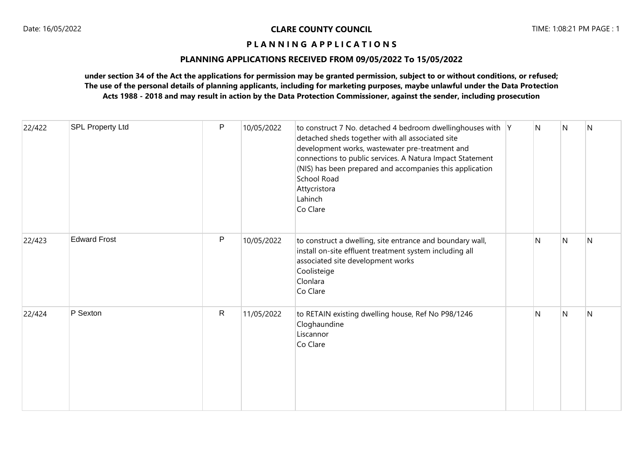# **PLANNING APPLICATIONS RECEIVED FROM 09/05/2022 To 15/05/2022**

| 22/422 | <b>SPL Property Ltd</b> | P            | 10/05/2022 | to construct 7 No. detached 4 bedroom dwellinghouses with Y<br>detached sheds together with all associated site<br>development works, wastewater pre-treatment and<br>connections to public services. A Natura Impact Statement<br>(NIS) has been prepared and accompanies this application<br><b>School Road</b><br>Attycristora<br>Lahinch<br>Co Clare | N            | N | N |
|--------|-------------------------|--------------|------------|----------------------------------------------------------------------------------------------------------------------------------------------------------------------------------------------------------------------------------------------------------------------------------------------------------------------------------------------------------|--------------|---|---|
| 22/423 | <b>Edward Frost</b>     | P            | 10/05/2022 | to construct a dwelling, site entrance and boundary wall,<br>install on-site effluent treatment system including all<br>associated site development works<br>Coolisteige<br>Clonlara<br>Co Clare                                                                                                                                                         | $\mathsf{N}$ | N | N |
| 22/424 | P Sexton                | $\mathsf{R}$ | 11/05/2022 | to RETAIN existing dwelling house, Ref No P98/1246<br>Cloghaundine<br>Liscannor<br>Co Clare                                                                                                                                                                                                                                                              | N            | N | N |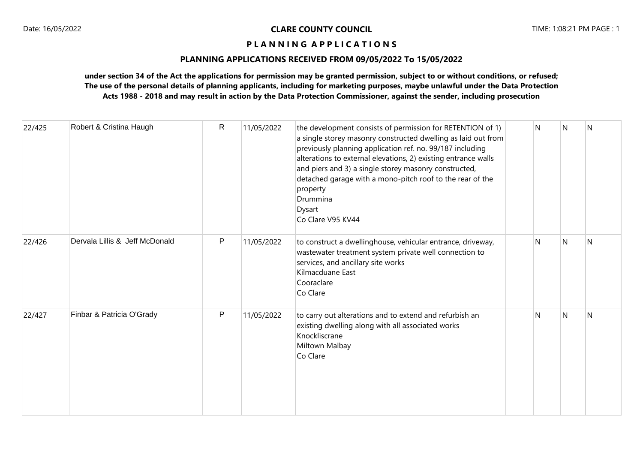# **PLANNING APPLICATIONS RECEIVED FROM 09/05/2022 To 15/05/2022**

| 22/425 | Robert & Cristina Haugh        | $\mathsf{R}$ | 11/05/2022 | the development consists of permission for RETENTION of 1)<br>a single storey masonry constructed dwelling as laid out from<br>previously planning application ref. no. 99/187 including<br>alterations to external elevations, 2) existing entrance walls<br>and piers and 3) a single storey masonry constructed,<br>detached garage with a mono-pitch roof to the rear of the<br>property<br>Drummina<br>Dysart<br>Co Clare V95 KV44 | N | N | N |
|--------|--------------------------------|--------------|------------|-----------------------------------------------------------------------------------------------------------------------------------------------------------------------------------------------------------------------------------------------------------------------------------------------------------------------------------------------------------------------------------------------------------------------------------------|---|---|---|
| 22/426 | Dervala Lillis & Jeff McDonald | P            | 11/05/2022 | to construct a dwellinghouse, vehicular entrance, driveway,<br>wastewater treatment system private well connection to<br>services, and ancillary site works<br>Kilmacduane East<br>Cooraclare<br>Co Clare                                                                                                                                                                                                                               | N | N | N |
| 22/427 | Finbar & Patricia O'Grady      | P            | 11/05/2022 | to carry out alterations and to extend and refurbish an<br>existing dwelling along with all associated works<br>Knockliscrane<br>Miltown Malbay<br>Co Clare                                                                                                                                                                                                                                                                             | N | N | N |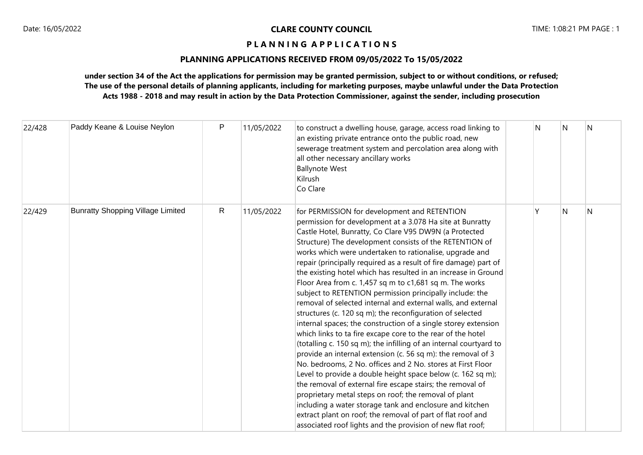# **PLANNING APPLICATIONS RECEIVED FROM 09/05/2022 To 15/05/2022**

| 22/428 | Paddy Keane & Louise Neylon              | P | 11/05/2022 | to construct a dwelling house, garage, access road linking to<br>an existing private entrance onto the public road, new<br>sewerage treatment system and percolation area along with<br>all other necessary ancillary works<br><b>Ballynote West</b><br>Kilrush<br>Co Clare                                                                                                                                                                                                                                                                                                                                                                                                                                                                                                                                                                                                                                                                                                                                                                                                                                                                                                                                                                                                                                                                                                                               | N | N            | N |
|--------|------------------------------------------|---|------------|-----------------------------------------------------------------------------------------------------------------------------------------------------------------------------------------------------------------------------------------------------------------------------------------------------------------------------------------------------------------------------------------------------------------------------------------------------------------------------------------------------------------------------------------------------------------------------------------------------------------------------------------------------------------------------------------------------------------------------------------------------------------------------------------------------------------------------------------------------------------------------------------------------------------------------------------------------------------------------------------------------------------------------------------------------------------------------------------------------------------------------------------------------------------------------------------------------------------------------------------------------------------------------------------------------------------------------------------------------------------------------------------------------------|---|--------------|---|
| 22/429 | <b>Bunratty Shopping Village Limited</b> | R | 11/05/2022 | for PERMISSION for development and RETENTION<br>permission for development at a 3.078 Ha site at Bunratty<br>Castle Hotel, Bunratty, Co Clare V95 DW9N (a Protected<br>Structure) The development consists of the RETENTION of<br>works which were undertaken to rationalise, upgrade and<br>repair (principally required as a result of fire damage) part of<br>the existing hotel which has resulted in an increase in Ground<br>Floor Area from c. 1,457 sq m to c1,681 sq m. The works<br>subject to RETENTION permission principally include: the<br>removal of selected internal and external walls, and external<br>structures (c. 120 sq m); the reconfiguration of selected<br>internal spaces; the construction of a single storey extension<br>which links to ta fire excape core to the rear of the hotel<br>(totalling c. 150 sq m); the infilling of an internal courtyard to<br>provide an internal extension (c. 56 sq m): the removal of 3<br>No. bedrooms, 2 No. offices and 2 No. stores at First Floor<br>Level to provide a double height space below (c. 162 sq m);<br>the removal of external fire escape stairs; the removal of<br>proprietary metal steps on roof; the removal of plant<br>including a water storage tank and enclosure and kitchen<br>extract plant on roof; the removal of part of flat roof and<br>associated roof lights and the provision of new flat roof; | ٧ | $\mathsf{N}$ | N |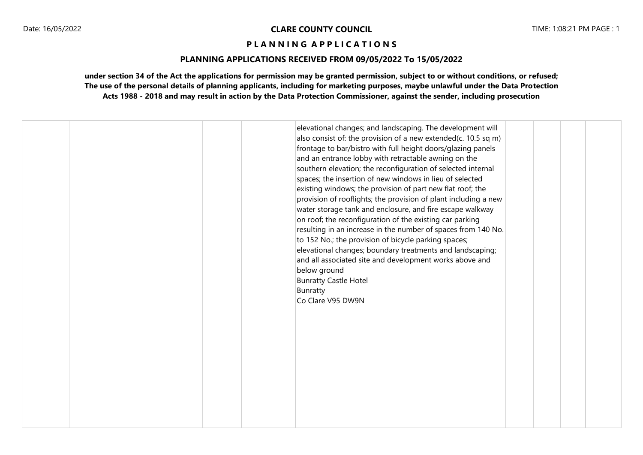# **PLANNING APPLICATIONS RECEIVED FROM 09/05/2022 To 15/05/2022**

|  | elevational changes; and landscaping. The development will<br>also consist of: the provision of a new extended(c. 10.5 sq m)<br>frontage to bar/bistro with full height doors/glazing panels<br>and an entrance lobby with retractable awning on the<br>southern elevation; the reconfiguration of selected internal<br>spaces; the insertion of new windows in lieu of selected<br>existing windows; the provision of part new flat roof; the<br>provision of rooflights; the provision of plant including a new<br>water storage tank and enclosure, and fire escape walkway<br>on roof; the reconfiguration of the existing car parking<br>resulting in an increase in the number of spaces from 140 No.<br>to 152 No.; the provision of bicycle parking spaces;<br>elevational changes; boundary treatments and landscaping;<br>and all associated site and development works above and<br>below ground<br><b>Bunratty Castle Hotel</b><br>Bunratty<br>Co Clare V95 DW9N |  |
|--|------------------------------------------------------------------------------------------------------------------------------------------------------------------------------------------------------------------------------------------------------------------------------------------------------------------------------------------------------------------------------------------------------------------------------------------------------------------------------------------------------------------------------------------------------------------------------------------------------------------------------------------------------------------------------------------------------------------------------------------------------------------------------------------------------------------------------------------------------------------------------------------------------------------------------------------------------------------------------|--|
|--|------------------------------------------------------------------------------------------------------------------------------------------------------------------------------------------------------------------------------------------------------------------------------------------------------------------------------------------------------------------------------------------------------------------------------------------------------------------------------------------------------------------------------------------------------------------------------------------------------------------------------------------------------------------------------------------------------------------------------------------------------------------------------------------------------------------------------------------------------------------------------------------------------------------------------------------------------------------------------|--|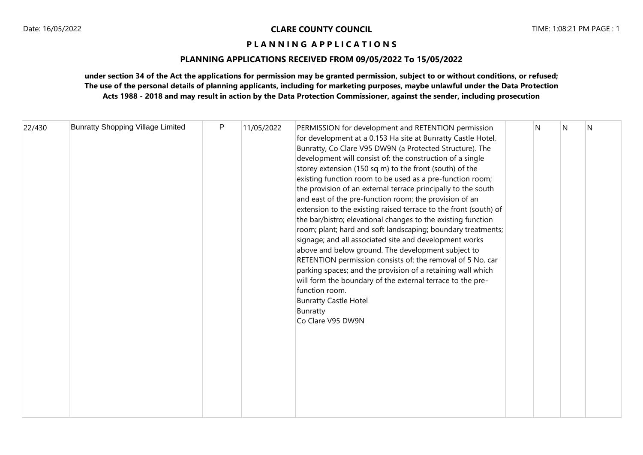# **PLANNING APPLICATIONS RECEIVED FROM 09/05/2022 To 15/05/2022**

| 22/430 | <b>Bunratty Shopping Village Limited</b> | P | 11/05/2022 | PERMISSION for development and RETENTION permission<br>for development at a 0.153 Ha site at Bunratty Castle Hotel,<br>Bunratty, Co Clare V95 DW9N (a Protected Structure). The<br>development will consist of: the construction of a single<br>storey extension (150 sq m) to the front (south) of the<br>existing function room to be used as a pre-function room;<br>the provision of an external terrace principally to the south<br>and east of the pre-function room; the provision of an<br>extension to the existing raised terrace to the front (south) of<br>the bar/bistro; elevational changes to the existing function<br>room; plant; hard and soft landscaping; boundary treatments;<br>signage; and all associated site and development works<br>above and below ground. The development subject to<br>RETENTION permission consists of: the removal of 5 No. car<br>parking spaces; and the provision of a retaining wall which<br>will form the boundary of the external terrace to the pre-<br>function room.<br><b>Bunratty Castle Hotel</b><br>Bunratty<br>Co Clare V95 DW9N |  | N | N | N |
|--------|------------------------------------------|---|------------|---------------------------------------------------------------------------------------------------------------------------------------------------------------------------------------------------------------------------------------------------------------------------------------------------------------------------------------------------------------------------------------------------------------------------------------------------------------------------------------------------------------------------------------------------------------------------------------------------------------------------------------------------------------------------------------------------------------------------------------------------------------------------------------------------------------------------------------------------------------------------------------------------------------------------------------------------------------------------------------------------------------------------------------------------------------------------------------------------|--|---|---|---|
|--------|------------------------------------------|---|------------|---------------------------------------------------------------------------------------------------------------------------------------------------------------------------------------------------------------------------------------------------------------------------------------------------------------------------------------------------------------------------------------------------------------------------------------------------------------------------------------------------------------------------------------------------------------------------------------------------------------------------------------------------------------------------------------------------------------------------------------------------------------------------------------------------------------------------------------------------------------------------------------------------------------------------------------------------------------------------------------------------------------------------------------------------------------------------------------------------|--|---|---|---|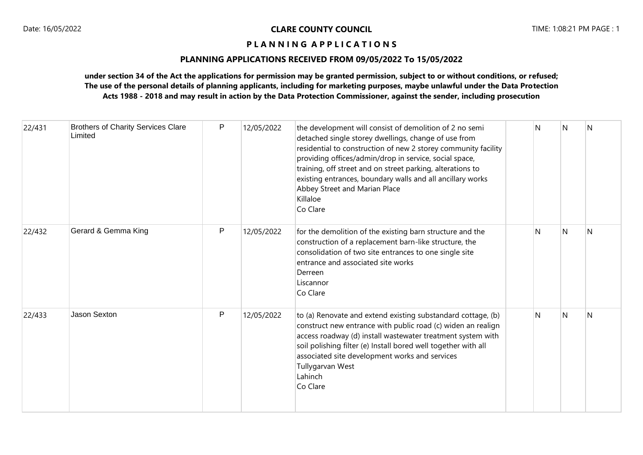# **PLANNING APPLICATIONS RECEIVED FROM 09/05/2022 To 15/05/2022**

| 22/431 | <b>Brothers of Charity Services Clare</b><br>Limited | $\mathsf{P}$ | 12/05/2022 | the development will consist of demolition of 2 no semi<br>detached single storey dwellings, change of use from<br>residential to construction of new 2 storey community facility<br>providing offices/admin/drop in service, social space,<br>training, off street and on street parking, alterations to<br>existing entrances, boundary walls and all ancillary works<br>Abbey Street and Marian Place<br>Killaloe<br>Co Clare | N  | N            | N |
|--------|------------------------------------------------------|--------------|------------|----------------------------------------------------------------------------------------------------------------------------------------------------------------------------------------------------------------------------------------------------------------------------------------------------------------------------------------------------------------------------------------------------------------------------------|----|--------------|---|
| 22/432 | Gerard & Gemma King                                  | P            | 12/05/2022 | for the demolition of the existing barn structure and the<br>construction of a replacement barn-like structure, the<br>consolidation of two site entrances to one single site<br>entrance and associated site works<br>Derreen<br>Liscannor<br>Co Clare                                                                                                                                                                          | N. | $\mathsf{N}$ | N |
| 22/433 | <b>Jason Sexton</b>                                  | P            | 12/05/2022 | to (a) Renovate and extend existing substandard cottage, (b)<br>construct new entrance with public road (c) widen an realign<br>access roadway (d) install wastewater treatment system with<br>soil polishing filter (e) Install bored well together with all<br>associated site development works and services<br>Tullygarvan West<br>Lahinch<br>Co Clare                                                                       | N  | N            | N |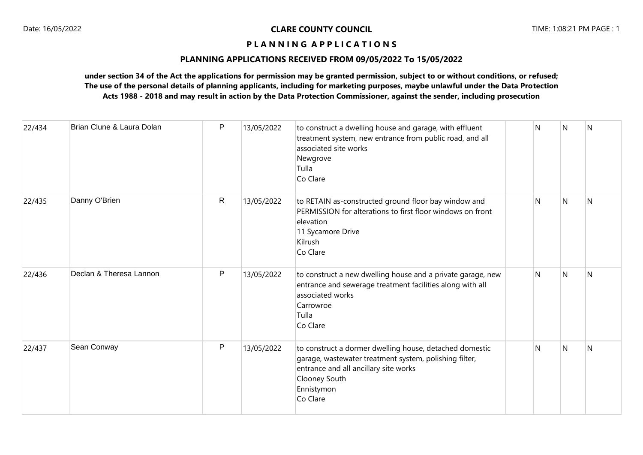# **PLANNING APPLICATIONS RECEIVED FROM 09/05/2022 To 15/05/2022**

| 22/434 | Brian Clune & Laura Dolan | P            | 13/05/2022 | to construct a dwelling house and garage, with effluent<br>treatment system, new entrance from public road, and all<br>associated site works<br>Newgrove<br>Tulla<br>Co Clare                         | N | N              | $\overline{N}$ |
|--------|---------------------------|--------------|------------|-------------------------------------------------------------------------------------------------------------------------------------------------------------------------------------------------------|---|----------------|----------------|
| 22/435 | Danny O'Brien             | $\mathsf{R}$ | 13/05/2022 | to RETAIN as-constructed ground floor bay window and<br>PERMISSION for alterations to first floor windows on front<br>elevation<br>11 Sycamore Drive<br>Kilrush<br>Co Clare                           | N | $\overline{N}$ | N              |
| 22/436 | Declan & Theresa Lannon   | P            | 13/05/2022 | to construct a new dwelling house and a private garage, new<br>entrance and sewerage treatment facilities along with all<br>associated works<br>Carrowroe<br>Tulla<br>Co Clare                        | N | IN.            | N              |
| 22/437 | Sean Conway               | P            | 13/05/2022 | to construct a dormer dwelling house, detached domestic<br>garage, wastewater treatment system, polishing filter,<br>entrance and all ancillary site works<br>Clooney South<br>Ennistymon<br>Co Clare | N | N              | N              |